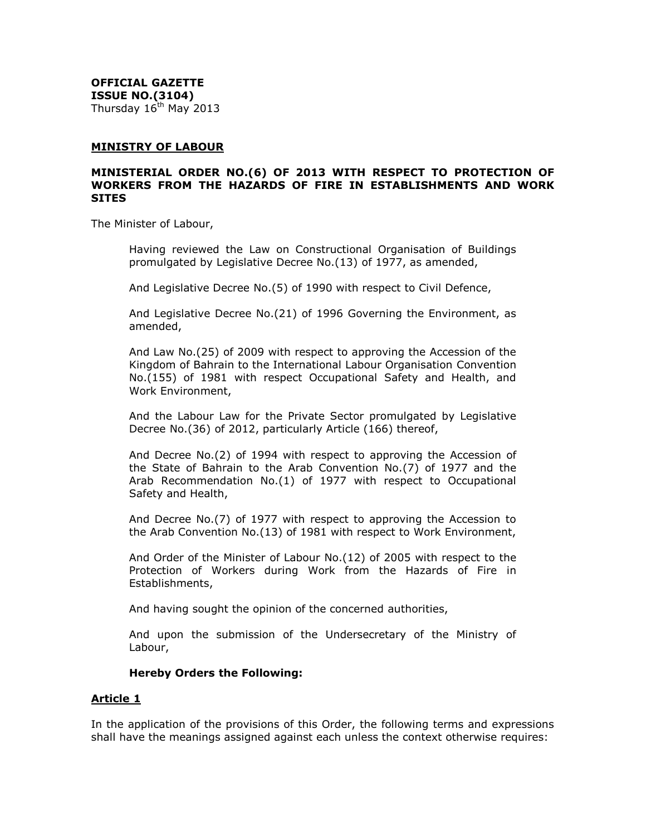**OFFICIAL GAZETTE ISSUE NO.(3104)** Thursday  $16<sup>th</sup>$  May 2013

#### **MINISTRY OF LABOUR**

#### **MINISTERIAL ORDER NO.(6) OF 2013 WITH RESPECT TO PROTECTION OF WORKERS FROM THE HAZARDS OF FIRE IN ESTABLISHMENTS AND WORK SITES**

The Minister of Labour,

Having reviewed the Law on Constructional Organisation of Buildings promulgated by Legislative Decree No.(13) of 1977, as amended,

And Legislative Decree No.(5) of 1990 with respect to Civil Defence,

And Legislative Decree No.(21) of 1996 Governing the Environment, as amended,

And Law No.(25) of 2009 with respect to approving the Accession of the Kingdom of Bahrain to the International Labour Organisation Convention No.(155) of 1981 with respect Occupational Safety and Health, and Work Environment,

And the Labour Law for the Private Sector promulgated by Legislative Decree No.(36) of 2012, particularly Article (166) thereof,

And Decree No.(2) of 1994 with respect to approving the Accession of the State of Bahrain to the Arab Convention No.(7) of 1977 and the Arab Recommendation No.(1) of 1977 with respect to Occupational Safety and Health,

And Decree No.(7) of 1977 with respect to approving the Accession to the Arab Convention No.(13) of 1981 with respect to Work Environment,

And Order of the Minister of Labour No.(12) of 2005 with respect to the Protection of Workers during Work from the Hazards of Fire in Establishments,

And having sought the opinion of the concerned authorities,

And upon the submission of the Undersecretary of the Ministry of Labour,

#### **Hereby Orders the Following:**

#### **Article 1**

In the application of the provisions of this Order, the following terms and expressions shall have the meanings assigned against each unless the context otherwise requires: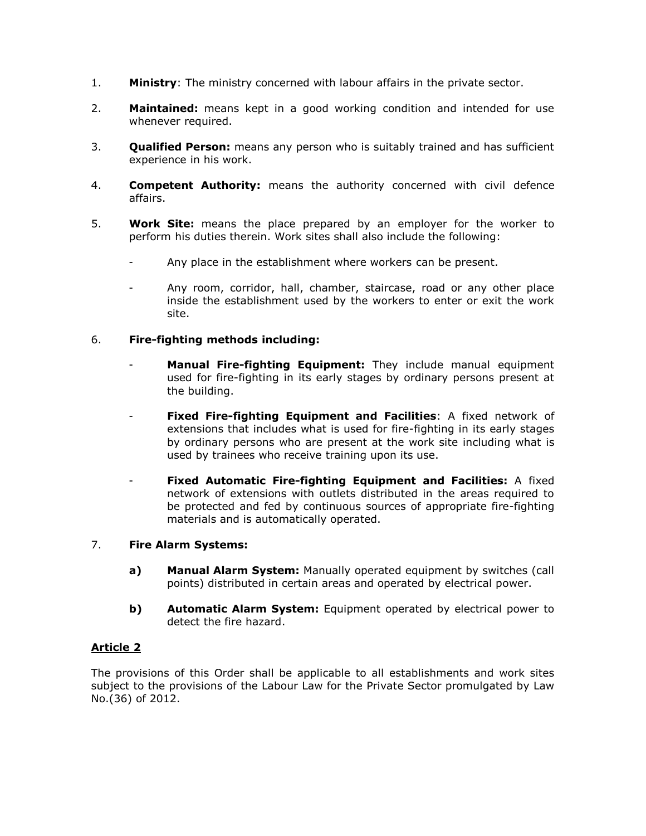- 1. **Ministry**: The ministry concerned with labour affairs in the private sector.
- 2. **Maintained:** means kept in a good working condition and intended for use whenever required.
- 3. **Qualified Person:** means any person who is suitably trained and has sufficient experience in his work.
- 4. **Competent Authority:** means the authority concerned with civil defence affairs.
- 5. **Work Site:** means the place prepared by an employer for the worker to perform his duties therein. Work sites shall also include the following:
	- Any place in the establishment where workers can be present.
	- Any room, corridor, hall, chamber, staircase, road or any other place inside the establishment used by the workers to enter or exit the work site.

# 6. **Fire-fighting methods including:**

- Manual Fire-fighting Equipment: They include manual equipment used for fire-fighting in its early stages by ordinary persons present at the building.
- **Fixed Fire-fighting Equipment and Facilities**: A fixed network of extensions that includes what is used for fire-fighting in its early stages by ordinary persons who are present at the work site including what is used by trainees who receive training upon its use.
- **Fixed Automatic Fire-fighting Equipment and Facilities:** A fixed network of extensions with outlets distributed in the areas required to be protected and fed by continuous sources of appropriate fire-fighting materials and is automatically operated.

# 7. **Fire Alarm Systems:**

- **a) Manual Alarm System:** Manually operated equipment by switches (call points) distributed in certain areas and operated by electrical power.
- **b) Automatic Alarm System:** Equipment operated by electrical power to detect the fire hazard.

# **Article 2**

The provisions of this Order shall be applicable to all establishments and work sites subject to the provisions of the Labour Law for the Private Sector promulgated by Law No.(36) of 2012.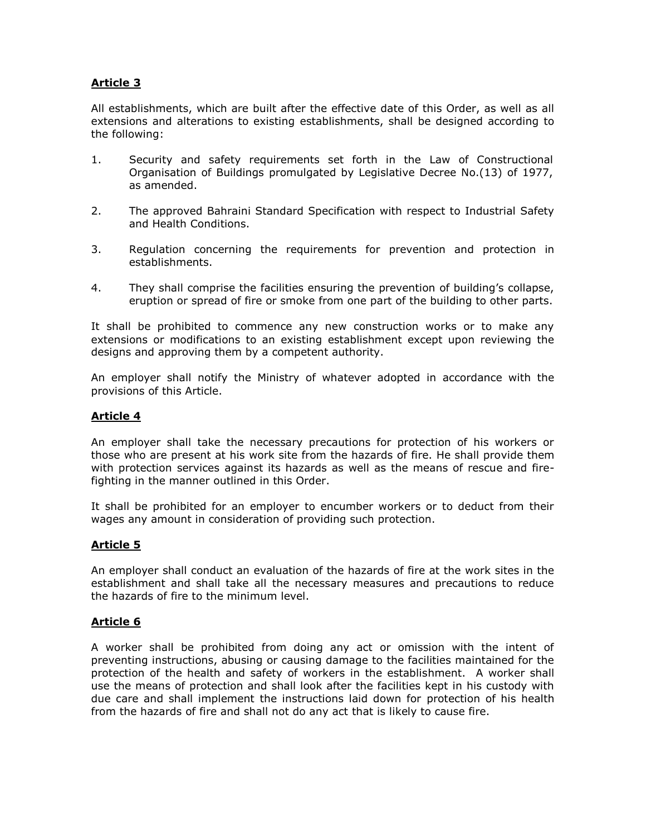All establishments, which are built after the effective date of this Order, as well as all extensions and alterations to existing establishments, shall be designed according to the following:

- 1. Security and safety requirements set forth in the Law of Constructional Organisation of Buildings promulgated by Legislative Decree No.(13) of 1977, as amended.
- 2. The approved Bahraini Standard Specification with respect to Industrial Safety and Health Conditions.
- 3. Regulation concerning the requirements for prevention and protection in establishments.
- 4. They shall comprise the facilities ensuring the prevention of building"s collapse, eruption or spread of fire or smoke from one part of the building to other parts.

It shall be prohibited to commence any new construction works or to make any extensions or modifications to an existing establishment except upon reviewing the designs and approving them by a competent authority.

An employer shall notify the Ministry of whatever adopted in accordance with the provisions of this Article.

# **Article 4**

An employer shall take the necessary precautions for protection of his workers or those who are present at his work site from the hazards of fire. He shall provide them with protection services against its hazards as well as the means of rescue and firefighting in the manner outlined in this Order.

It shall be prohibited for an employer to encumber workers or to deduct from their wages any amount in consideration of providing such protection.

# **Article 5**

An employer shall conduct an evaluation of the hazards of fire at the work sites in the establishment and shall take all the necessary measures and precautions to reduce the hazards of fire to the minimum level.

# **Article 6**

A worker shall be prohibited from doing any act or omission with the intent of preventing instructions, abusing or causing damage to the facilities maintained for the protection of the health and safety of workers in the establishment. A worker shall use the means of protection and shall look after the facilities kept in his custody with due care and shall implement the instructions laid down for protection of his health from the hazards of fire and shall not do any act that is likely to cause fire.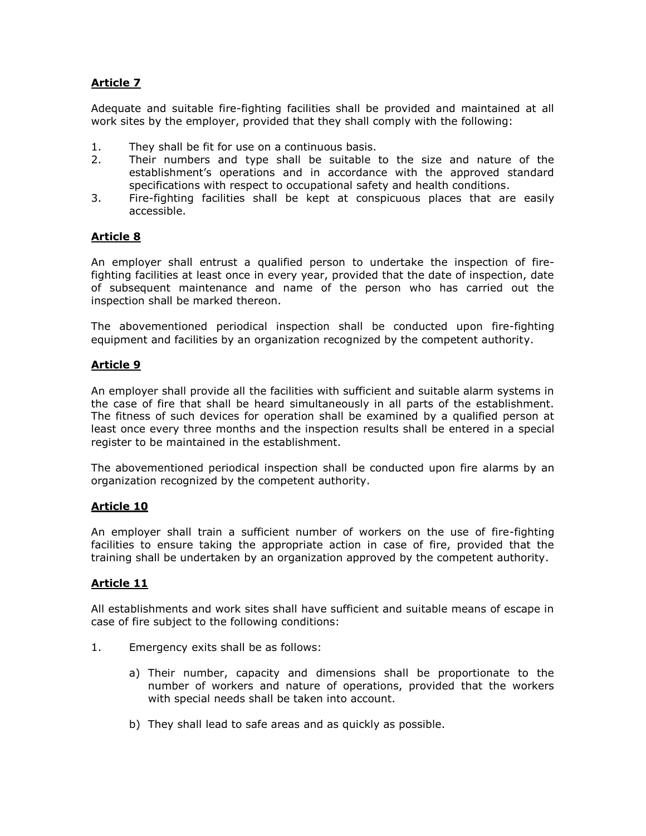Adequate and suitable fire-fighting facilities shall be provided and maintained at all work sites by the employer, provided that they shall comply with the following:

- 1. They shall be fit for use on a continuous basis.
- 2. Their numbers and type shall be suitable to the size and nature of the establishment"s operations and in accordance with the approved standard specifications with respect to occupational safety and health conditions.
- 3. Fire-fighting facilities shall be kept at conspicuous places that are easily accessible.

# **Article 8**

An employer shall entrust a qualified person to undertake the inspection of firefighting facilities at least once in every year, provided that the date of inspection, date of subsequent maintenance and name of the person who has carried out the inspection shall be marked thereon.

The abovementioned periodical inspection shall be conducted upon fire-fighting equipment and facilities by an organization recognized by the competent authority.

# **Article 9**

An employer shall provide all the facilities with sufficient and suitable alarm systems in the case of fire that shall be heard simultaneously in all parts of the establishment. The fitness of such devices for operation shall be examined by a qualified person at least once every three months and the inspection results shall be entered in a special register to be maintained in the establishment.

The abovementioned periodical inspection shall be conducted upon fire alarms by an organization recognized by the competent authority.

# **Article 10**

An employer shall train a sufficient number of workers on the use of fire-fighting facilities to ensure taking the appropriate action in case of fire, provided that the training shall be undertaken by an organization approved by the competent authority.

# **Article 11**

All establishments and work sites shall have sufficient and suitable means of escape in case of fire subject to the following conditions:

- 1. Emergency exits shall be as follows:
	- a) Their number, capacity and dimensions shall be proportionate to the number of workers and nature of operations, provided that the workers with special needs shall be taken into account.
	- b) They shall lead to safe areas and as quickly as possible.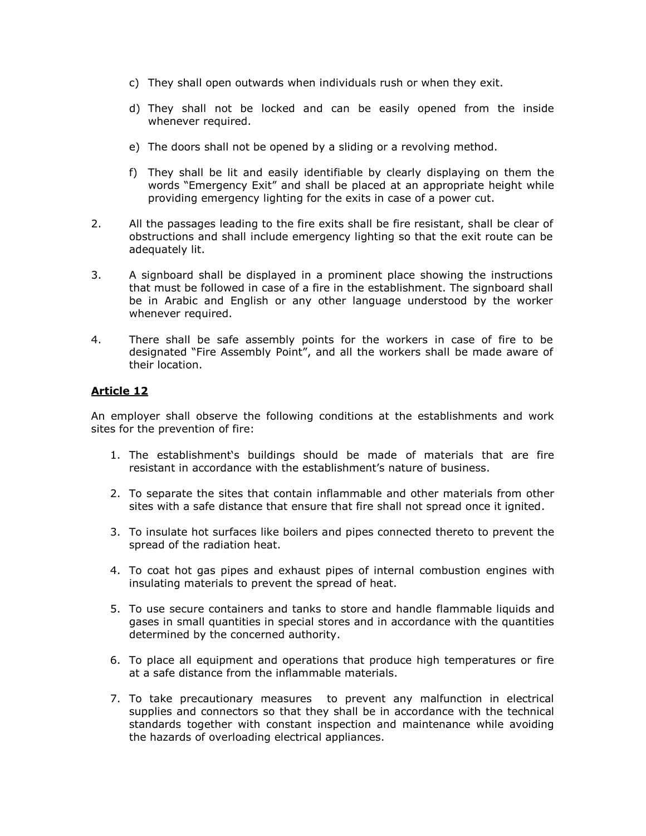- c) They shall open outwards when individuals rush or when they exit.
- d) They shall not be locked and can be easily opened from the inside whenever required.
- e) The doors shall not be opened by a sliding or a revolving method.
- f) They shall be lit and easily identifiable by clearly displaying on them the words "Emergency Exit" and shall be placed at an appropriate height while providing emergency lighting for the exits in case of a power cut.
- 2. All the passages leading to the fire exits shall be fire resistant, shall be clear of obstructions and shall include emergency lighting so that the exit route can be adequately lit.
- 3. A signboard shall be displayed in a prominent place showing the instructions that must be followed in case of a fire in the establishment. The signboard shall be in Arabic and English or any other language understood by the worker whenever required.
- 4. There shall be safe assembly points for the workers in case of fire to be designated "Fire Assembly Point", and all the workers shall be made aware of their location.

An employer shall observe the following conditions at the establishments and work sites for the prevention of fire:

- 1. The establishment"s buildings should be made of materials that are fire resistant in accordance with the establishment's nature of business.
- 2. To separate the sites that contain inflammable and other materials from other sites with a safe distance that ensure that fire shall not spread once it ignited.
- 3. To insulate hot surfaces like boilers and pipes connected thereto to prevent the spread of the radiation heat.
- 4. To coat hot gas pipes and exhaust pipes of internal combustion engines with insulating materials to prevent the spread of heat.
- 5. To use secure containers and tanks to store and handle flammable liquids and gases in small quantities in special stores and in accordance with the quantities determined by the concerned authority.
- 6. To place all equipment and operations that produce high temperatures or fire at a safe distance from the inflammable materials.
- 7. To take precautionary measures to prevent any malfunction in electrical supplies and connectors so that they shall be in accordance with the technical standards together with constant inspection and maintenance while avoiding the hazards of overloading electrical appliances.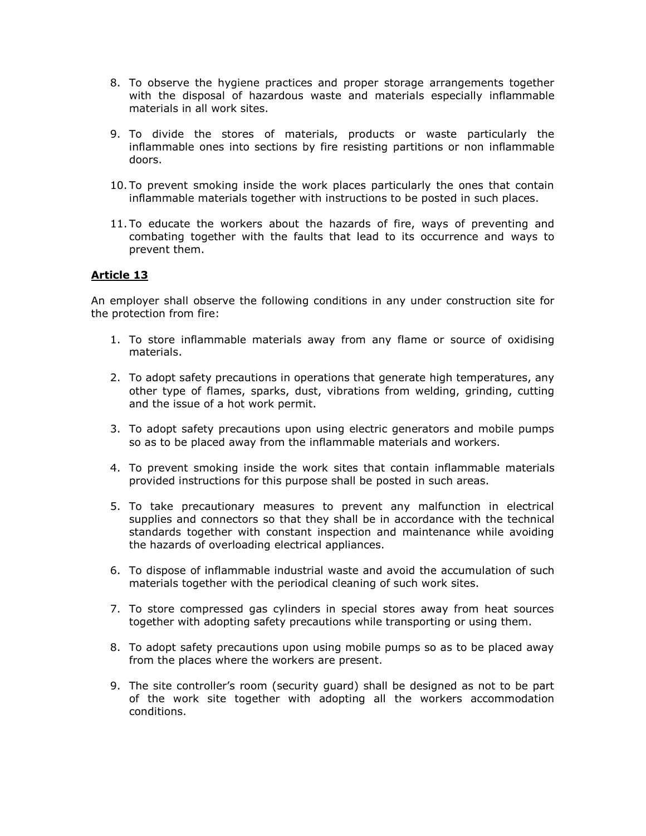- 8. To observe the hygiene practices and proper storage arrangements together with the disposal of hazardous waste and materials especially inflammable materials in all work sites.
- 9. To divide the stores of materials, products or waste particularly the inflammable ones into sections by fire resisting partitions or non inflammable doors.
- 10. To prevent smoking inside the work places particularly the ones that contain inflammable materials together with instructions to be posted in such places.
- 11. To educate the workers about the hazards of fire, ways of preventing and combating together with the faults that lead to its occurrence and ways to prevent them.

An employer shall observe the following conditions in any under construction site for the protection from fire:

- 1. To store inflammable materials away from any flame or source of oxidising materials.
- 2. To adopt safety precautions in operations that generate high temperatures, any other type of flames, sparks, dust, vibrations from welding, grinding, cutting and the issue of a hot work permit.
- 3. To adopt safety precautions upon using electric generators and mobile pumps so as to be placed away from the inflammable materials and workers.
- 4. To prevent smoking inside the work sites that contain inflammable materials provided instructions for this purpose shall be posted in such areas.
- 5. To take precautionary measures to prevent any malfunction in electrical supplies and connectors so that they shall be in accordance with the technical standards together with constant inspection and maintenance while avoiding the hazards of overloading electrical appliances.
- 6. To dispose of inflammable industrial waste and avoid the accumulation of such materials together with the periodical cleaning of such work sites.
- 7. To store compressed gas cylinders in special stores away from heat sources together with adopting safety precautions while transporting or using them.
- 8. To adopt safety precautions upon using mobile pumps so as to be placed away from the places where the workers are present.
- 9. The site controller"s room (security guard) shall be designed as not to be part of the work site together with adopting all the workers accommodation conditions.